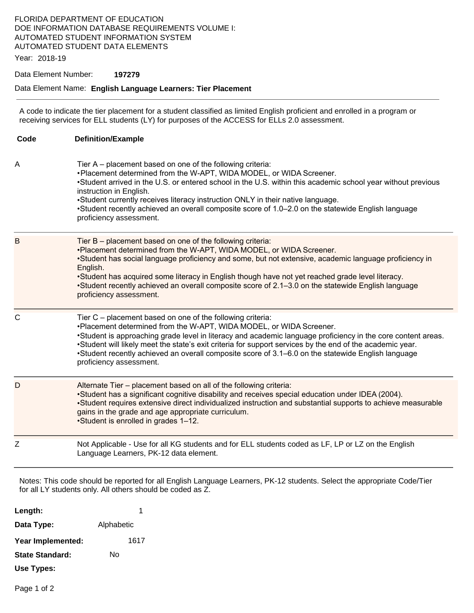### FLORIDA DEPARTMENT OF EDUCATION DOE INFORMATION DATABASE REQUIREMENTS VOLUME I: AUTOMATED STUDENT INFORMATION SYSTEM AUTOMATED STUDENT DATA ELEMENTS

Year: 2018-19

#### Data Element Number: **197279**

#### Data Element Name: **English Language Learners: Tier Placement**

A code to indicate the tier placement for a student classified as limited English proficient and enrolled in a program or receiving services for ELL students (LY) for purposes of the ACCESS for ELLs 2.0 assessment.

| Code         | <b>Definition/Example</b>                                                                                                                                                                                                                                                                                                                                                                                                                                                                         |
|--------------|---------------------------------------------------------------------------------------------------------------------------------------------------------------------------------------------------------------------------------------------------------------------------------------------------------------------------------------------------------------------------------------------------------------------------------------------------------------------------------------------------|
| Α            | Tier A – placement based on one of the following criteria:<br>. Placement determined from the W-APT, WIDA MODEL, or WIDA Screener.<br>•Student arrived in the U.S. or entered school in the U.S. within this academic school year without previous<br>instruction in English.<br>•Student currently receives literacy instruction ONLY in their native language.<br>•Student recently achieved an overall composite score of 1.0–2.0 on the statewide English language<br>proficiency assessment. |
| B            | Tier B - placement based on one of the following criteria:<br>.Placement determined from the W-APT, WIDA MODEL, or WIDA Screener.<br>•Student has social language proficiency and some, but not extensive, academic language proficiency in<br>English.<br>•Student has acquired some literacy in English though have not yet reached grade level literacy.<br>•Student recently achieved an overall composite score of 2.1-3.0 on the statewide English language<br>proficiency assessment.      |
| $\mathsf{C}$ | Tier C - placement based on one of the following criteria:<br>.Placement determined from the W-APT, WIDA MODEL, or WIDA Screener.<br>•Student is approaching grade level in literacy and academic language proficiency in the core content areas.<br>•Student will likely meet the state's exit criteria for support services by the end of the academic year.<br>•Student recently achieved an overall composite score of 3.1–6.0 on the statewide English language<br>proficiency assessment.   |
| D            | Alternate Tier - placement based on all of the following criteria:<br>•Student has a significant cognitive disability and receives special education under IDEA (2004).<br>•Student requires extensive direct individualized instruction and substantial supports to achieve measurable<br>gains in the grade and age appropriate curriculum.<br>•Student is enrolled in grades 1-12.                                                                                                             |
| Z            | Not Applicable - Use for all KG students and for ELL students coded as LF, LP or LZ on the English<br>Language Learners, PK-12 data element.                                                                                                                                                                                                                                                                                                                                                      |

Notes: This code should be reported for all English Language Learners, PK-12 students. Select the appropriate Code/Tier for all LY students only. All others should be coded as Z.

| Length:                |            | 1    |
|------------------------|------------|------|
| Data Type:             | Alphabetic |      |
| Year Implemented:      |            | 1617 |
| <b>State Standard:</b> | N٥         |      |
| Use Types:             |            |      |